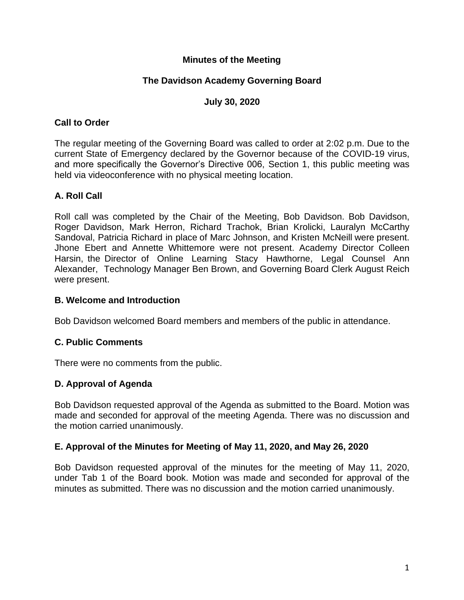## **Minutes of the Meeting**

## **The Davidson Academy Governing Board**

#### **July 30, 2020**

#### **Call to Order**

The regular meeting of the Governing Board was called to order at 2:02 p.m. Due to the current State of Emergency declared by the Governor because of the COVID-19 virus, and more specifically the Governor's Directive 006, Section 1, this public meeting was held via videoconference with no physical meeting location.

## **A. Roll Call**

Roll call was completed by the Chair of the Meeting, Bob Davidson. Bob Davidson, Roger Davidson, Mark Herron, Richard Trachok, Brian Krolicki, Lauralyn McCarthy Sandoval, Patricia Richard in place of Marc Johnson, and Kristen McNeill were present. Jhone Ebert and Annette Whittemore were not present. Academy Director Colleen Harsin, the Director of Online Learning Stacy Hawthorne, Legal Counsel Ann Alexander, Technology Manager Ben Brown, and Governing Board Clerk August Reich were present.

#### **B. Welcome and Introduction**

Bob Davidson welcomed Board members and members of the public in attendance.

#### **C. Public Comments**

There were no comments from the public.

#### **D. Approval of Agenda**

Bob Davidson requested approval of the Agenda as submitted to the Board. Motion was made and seconded for approval of the meeting Agenda. There was no discussion and the motion carried unanimously.

#### **E. Approval of the Minutes for Meeting of May 11, 2020, and May 26, 2020**

Bob Davidson requested approval of the minutes for the meeting of May 11, 2020, under Tab 1 of the Board book. Motion was made and seconded for approval of the minutes as submitted. There was no discussion and the motion carried unanimously.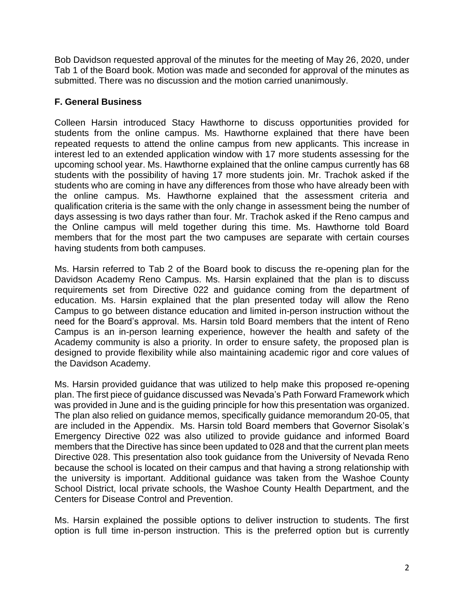Bob Davidson requested approval of the minutes for the meeting of May 26, 2020, under Tab 1 of the Board book. Motion was made and seconded for approval of the minutes as submitted. There was no discussion and the motion carried unanimously.

# **F. General Business**

Colleen Harsin introduced Stacy Hawthorne to discuss opportunities provided for students from the online campus. Ms. Hawthorne explained that there have been repeated requests to attend the online campus from new applicants. This increase in interest led to an extended application window with 17 more students assessing for the upcoming school year. Ms. Hawthorne explained that the online campus currently has 68 students with the possibility of having 17 more students join. Mr. Trachok asked if the students who are coming in have any differences from those who have already been with the online campus. Ms. Hawthorne explained that the assessment criteria and qualification criteria is the same with the only change in assessment being the number of days assessing is two days rather than four. Mr. Trachok asked if the Reno campus and the Online campus will meld together during this time. Ms. Hawthorne told Board members that for the most part the two campuses are separate with certain courses having students from both campuses.

Ms. Harsin referred to Tab 2 of the Board book to discuss the re-opening plan for the Davidson Academy Reno Campus. Ms. Harsin explained that the plan is to discuss requirements set from Directive 022 and guidance coming from the department of education. Ms. Harsin explained that the plan presented today will allow the Reno Campus to go between distance education and limited in-person instruction without the need for the Board's approval. Ms. Harsin told Board members that the intent of Reno Campus is an in-person learning experience, however the health and safety of the Academy community is also a priority. In order to ensure safety, the proposed plan is designed to provide flexibility while also maintaining academic rigor and core values of the Davidson Academy.

Ms. Harsin provided guidance that was utilized to help make this proposed re-opening plan. The first piece of guidance discussed was Nevada's Path Forward Framework which was provided in June and is the guiding principle for how this presentation was organized. The plan also relied on guidance memos, specifically guidance memorandum 20-05, that are included in the Appendix. Ms. Harsin told Board members that Governor Sisolak's Emergency Directive 022 was also utilized to provide guidance and informed Board members that the Directive has since been updated to 028 and that the current plan meets Directive 028. This presentation also took guidance from the University of Nevada Reno because the school is located on their campus and that having a strong relationship with the university is important. Additional guidance was taken from the Washoe County School District, local private schools, the Washoe County Health Department, and the Centers for Disease Control and Prevention.

Ms. Harsin explained the possible options to deliver instruction to students. The first option is full time in-person instruction. This is the preferred option but is currently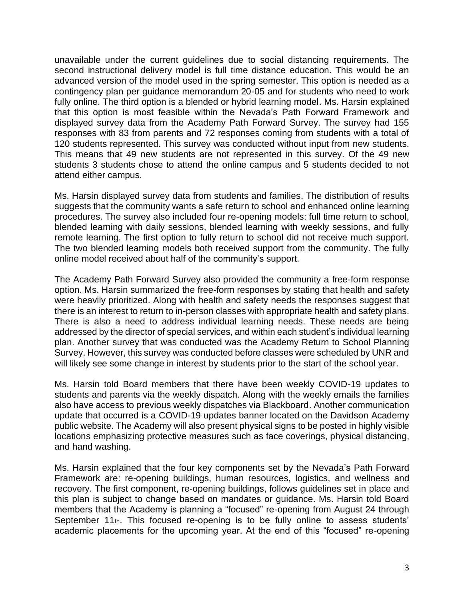unavailable under the current guidelines due to social distancing requirements. The second instructional delivery model is full time distance education. This would be an advanced version of the model used in the spring semester. This option is needed as a contingency plan per guidance memorandum 20-05 and for students who need to work fully online. The third option is a blended or hybrid learning model. Ms. Harsin explained that this option is most feasible within the Nevada's Path Forward Framework and displayed survey data from the Academy Path Forward Survey. The survey had 155 responses with 83 from parents and 72 responses coming from students with a total of 120 students represented. This survey was conducted without input from new students. This means that 49 new students are not represented in this survey. Of the 49 new students 3 students chose to attend the online campus and 5 students decided to not attend either campus.

Ms. Harsin displayed survey data from students and families. The distribution of results suggests that the community wants a safe return to school and enhanced online learning procedures. The survey also included four re-opening models: full time return to school, blended learning with daily sessions, blended learning with weekly sessions, and fully remote learning. The first option to fully return to school did not receive much support. The two blended learning models both received support from the community. The fully online model received about half of the community's support.

The Academy Path Forward Survey also provided the community a free-form response option. Ms. Harsin summarized the free-form responses by stating that health and safety were heavily prioritized. Along with health and safety needs the responses suggest that there is an interest to return to in-person classes with appropriate health and safety plans. There is also a need to address individual learning needs. These needs are being addressed by the director of special services, and within each student's individual learning plan. Another survey that was conducted was the Academy Return to School Planning Survey. However, this survey was conducted before classes were scheduled by UNR and will likely see some change in interest by students prior to the start of the school year.

Ms. Harsin told Board members that there have been weekly COVID-19 updates to students and parents via the weekly dispatch. Along with the weekly emails the families also have access to previous weekly dispatches via Blackboard. Another communication update that occurred is a COVID-19 updates banner located on the Davidson Academy public website. The Academy will also present physical signs to be posted in highly visible locations emphasizing protective measures such as face coverings, physical distancing, and hand washing.

Ms. Harsin explained that the four key components set by the Nevada's Path Forward Framework are: re-opening buildings, human resources, logistics, and wellness and recovery. The first component, re-opening buildings, follows guidelines set in place and this plan is subject to change based on mandates or guidance. Ms. Harsin told Board members that the Academy is planning a "focused" re-opening from August 24 through September 11<sup>th</sup>. This focused re-opening is to be fully online to assess students' academic placements for the upcoming year. At the end of this "focused" re-opening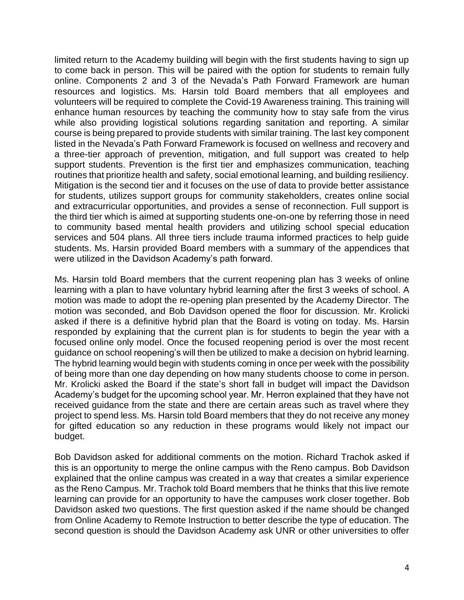limited return to the Academy building will begin with the first students having to sign up to come back in person. This will be paired with the option for students to remain fully online. Components 2 and 3 of the Nevada's Path Forward Framework are human resources and logistics. Ms. Harsin told Board members that all employees and volunteers will be required to complete the Covid-19 Awareness training. This training will enhance human resources by teaching the community how to stay safe from the virus while also providing logistical solutions regarding sanitation and reporting. A similar course is being prepared to provide students with similar training. The last key component listed in the Nevada's Path Forward Framework is focused on wellness and recovery and a three-tier approach of prevention, mitigation, and full support was created to help support students. Prevention is the first tier and emphasizes communication, teaching routines that prioritize health and safety, social emotional learning, and building resiliency. Mitigation is the second tier and it focuses on the use of data to provide better assistance for students, utilizes support groups for community stakeholders, creates online social and extracurricular opportunities, and provides a sense of reconnection. Full support is the third tier which is aimed at supporting students one-on-one by referring those in need to community based mental health providers and utilizing school special education services and 504 plans. All three tiers include trauma informed practices to help guide students. Ms. Harsin provided Board members with a summary of the appendices that were utilized in the Davidson Academy's path forward.

Ms. Harsin told Board members that the current reopening plan has 3 weeks of online learning with a plan to have voluntary hybrid learning after the first 3 weeks of school. A motion was made to adopt the re-opening plan presented by the Academy Director. The motion was seconded, and Bob Davidson opened the floor for discussion. Mr. Krolicki asked if there is a definitive hybrid plan that the Board is voting on today. Ms. Harsin responded by explaining that the current plan is for students to begin the year with a focused online only model. Once the focused reopening period is over the most recent guidance on school reopening's will then be utilized to make a decision on hybrid learning. The hybrid learning would begin with students coming in once per week with the possibility of being more than one day depending on how many students choose to come in person. Mr. Krolicki asked the Board if the state's short fall in budget will impact the Davidson Academy's budget for the upcoming school year. Mr. Herron explained that they have not received guidance from the state and there are certain areas such as travel where they project to spend less. Ms. Harsin told Board members that they do not receive any money for gifted education so any reduction in these programs would likely not impact our budget.

Bob Davidson asked for additional comments on the motion. Richard Trachok asked if this is an opportunity to merge the online campus with the Reno campus. Bob Davidson explained that the online campus was created in a way that creates a similar experience as the Reno Campus. Mr. Trachok told Board members that he thinks that this live remote learning can provide for an opportunity to have the campuses work closer together. Bob Davidson asked two questions. The first question asked if the name should be changed from Online Academy to Remote Instruction to better describe the type of education. The second question is should the Davidson Academy ask UNR or other universities to offer